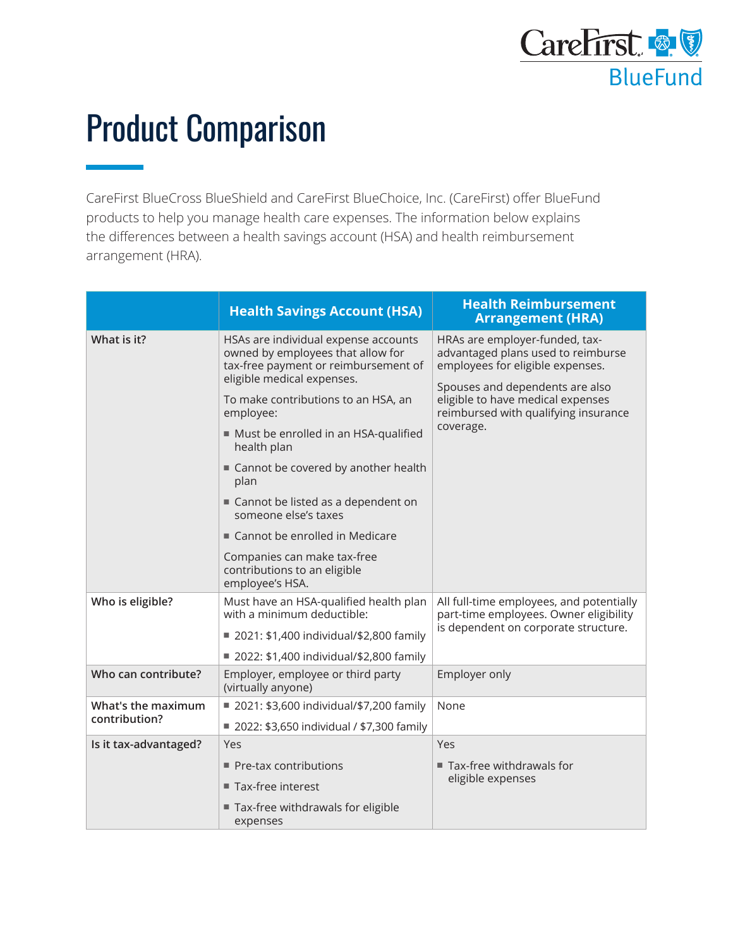

## Product Comparison

CareFirst BlueCross BlueShield and CareFirst BlueChoice, Inc. (CareFirst) offer BlueFund products to help you manage health care expenses. The information below explains the differences between a health savings account (HSA) and health reimbursement arrangement (HRA).

|                                     | <b>Health Savings Account (HSA)</b>                                                                                                                                                                                                                                                                                                                                                                                                                                                             | <b>Health Reimbursement</b><br><b>Arrangement (HRA)</b>                                                                                                                                                                               |
|-------------------------------------|-------------------------------------------------------------------------------------------------------------------------------------------------------------------------------------------------------------------------------------------------------------------------------------------------------------------------------------------------------------------------------------------------------------------------------------------------------------------------------------------------|---------------------------------------------------------------------------------------------------------------------------------------------------------------------------------------------------------------------------------------|
| What is it?                         | HSAs are individual expense accounts<br>owned by employees that allow for<br>tax-free payment or reimbursement of<br>eligible medical expenses.<br>To make contributions to an HSA, an<br>employee:<br>Must be enrolled in an HSA-qualified<br>health plan<br>■ Cannot be covered by another health<br>plan<br>Cannot be listed as a dependent on<br>someone else's taxes<br>■ Cannot be enrolled in Medicare<br>Companies can make tax-free<br>contributions to an eligible<br>employee's HSA. | HRAs are employer-funded, tax-<br>advantaged plans used to reimburse<br>employees for eligible expenses.<br>Spouses and dependents are also<br>eligible to have medical expenses<br>reimbursed with qualifying insurance<br>coverage. |
| Who is eligible?                    | Must have an HSA-qualified health plan<br>with a minimum deductible:<br>■ 2021: \$1,400 individual/\$2,800 family<br>■ 2022: \$1,400 individual/\$2,800 family                                                                                                                                                                                                                                                                                                                                  | All full-time employees, and potentially<br>part-time employees. Owner eligibility<br>is dependent on corporate structure.                                                                                                            |
| Who can contribute?                 | Employer, employee or third party<br>(virtually anyone)                                                                                                                                                                                                                                                                                                                                                                                                                                         | Employer only                                                                                                                                                                                                                         |
| What's the maximum<br>contribution? | ■ 2021: \$3,600 individual/\$7,200 family                                                                                                                                                                                                                                                                                                                                                                                                                                                       | None                                                                                                                                                                                                                                  |
|                                     | ■ 2022: \$3,650 individual / \$7,300 family                                                                                                                                                                                                                                                                                                                                                                                                                                                     |                                                                                                                                                                                                                                       |
| Is it tax-advantaged?               | Yes                                                                                                                                                                                                                                                                                                                                                                                                                                                                                             | Yes                                                                                                                                                                                                                                   |
|                                     | ■ Pre-tax contributions                                                                                                                                                                                                                                                                                                                                                                                                                                                                         | ■ Tax-free withdrawals for<br>eligible expenses                                                                                                                                                                                       |
|                                     | ■ Tax-free interest                                                                                                                                                                                                                                                                                                                                                                                                                                                                             |                                                                                                                                                                                                                                       |
|                                     | Tax-free withdrawals for eligible<br>expenses                                                                                                                                                                                                                                                                                                                                                                                                                                                   |                                                                                                                                                                                                                                       |